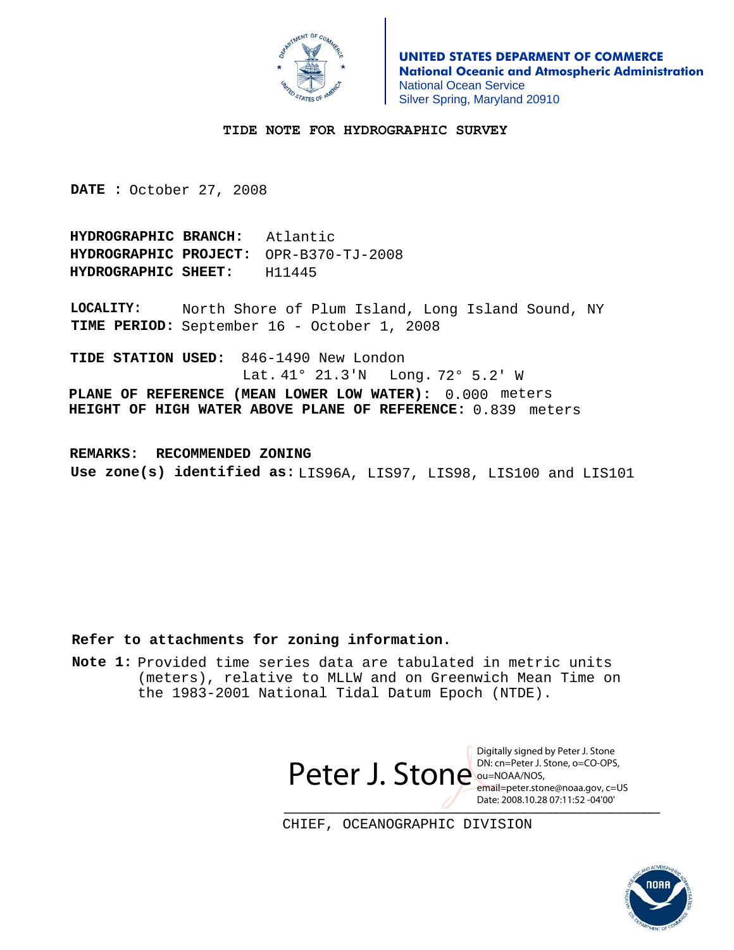# **Appendix I**

# **Dangers to Navigation**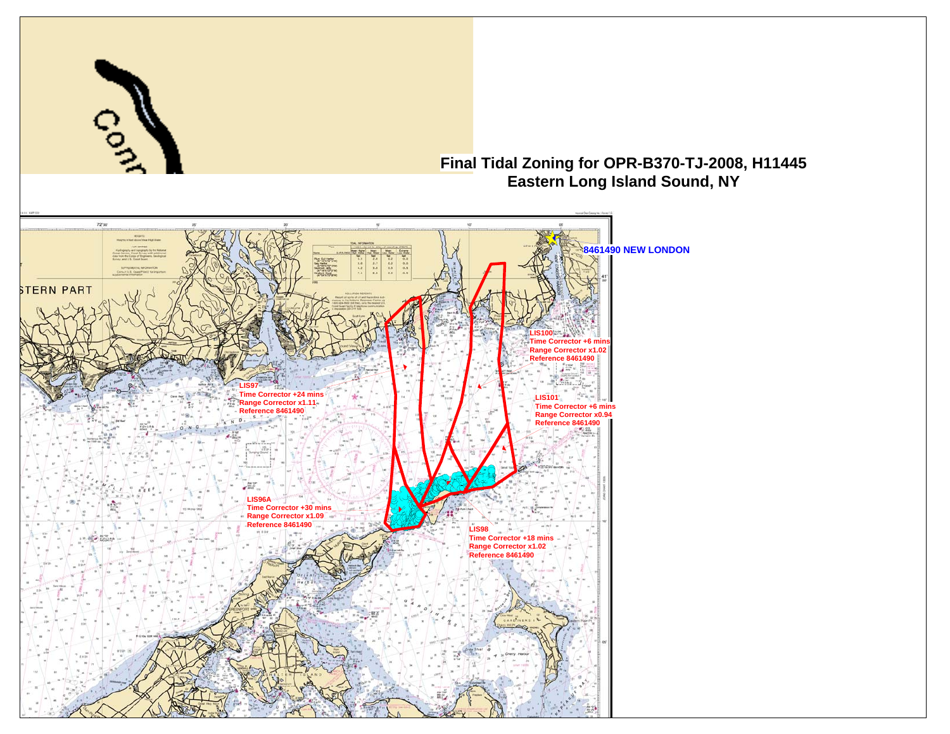### **Appendix II**

### **Survey Features Report**

#### **1. Charted Features**

#### **2. Uncharted Features**

 **-n/a** 

#### **3. AWOIS Items**